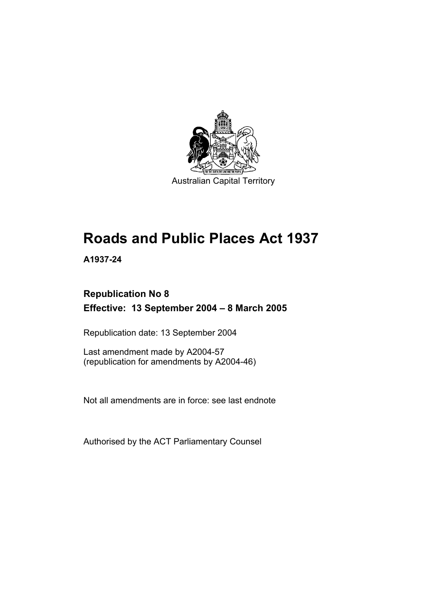

# **Roads and Public Places Act 1937**

**A1937-24** 

## **Republication No 8 Effective: 13 September 2004 – 8 March 2005**

Republication date: 13 September 2004

Last amendment made by A2004-57 (republication for amendments by A2004-46)

Not all amendments are in force: see last endnote

Authorised by the ACT Parliamentary Counsel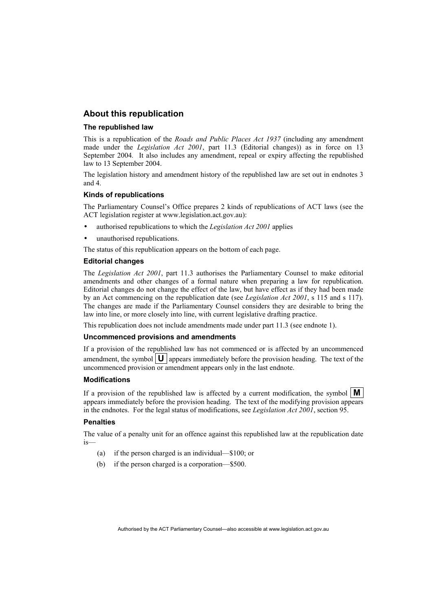## **About this republication**

#### **The republished law**

This is a republication of the *Roads and Public Places Act 1937* (including any amendment made under the *Legislation Act 2001*, part 11.3 (Editorial changes)) as in force on 13 September 2004*.* It also includes any amendment, repeal or expiry affecting the republished law to 13 September 2004.

The legislation history and amendment history of the republished law are set out in endnotes 3 and 4.

#### **Kinds of republications**

The Parliamentary Counsel's Office prepares 2 kinds of republications of ACT laws (see the ACT legislation register at www.legislation.act.gov.au):

- authorised republications to which the *Legislation Act 2001* applies
- unauthorised republications.

The status of this republication appears on the bottom of each page.

#### **Editorial changes**

The *Legislation Act 2001*, part 11.3 authorises the Parliamentary Counsel to make editorial amendments and other changes of a formal nature when preparing a law for republication. Editorial changes do not change the effect of the law, but have effect as if they had been made by an Act commencing on the republication date (see *Legislation Act 2001*, s 115 and s 117). The changes are made if the Parliamentary Counsel considers they are desirable to bring the law into line, or more closely into line, with current legislative drafting practice.

This republication does not include amendments made under part 11.3 (see endnote 1).

#### **Uncommenced provisions and amendments**

If a provision of the republished law has not commenced or is affected by an uncommenced amendment, the symbol  $\mathbf{U}$  appears immediately before the provision heading. The text of the uncommenced provision or amendment appears only in the last endnote.

#### **Modifications**

If a provision of the republished law is affected by a current modification, the symbol  $\mathbf{M}$ appears immediately before the provision heading. The text of the modifying provision appears in the endnotes. For the legal status of modifications, see *Legislation Act 2001*, section 95.

#### **Penalties**

The value of a penalty unit for an offence against this republished law at the republication date is—

- (a) if the person charged is an individual—\$100; or
- (b) if the person charged is a corporation—\$500.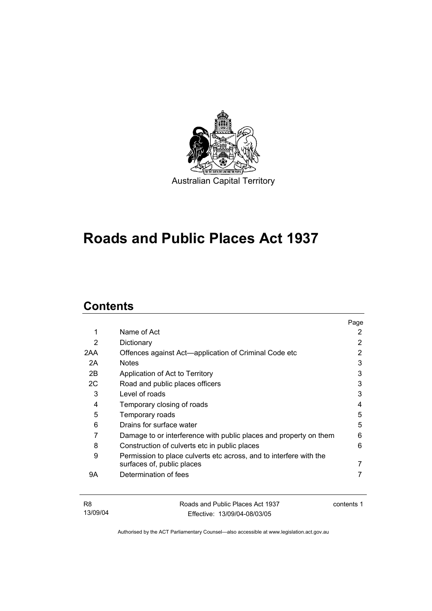

## **Roads and Public Places Act 1937**

## **Contents**

|     |                                                                                                  | Page |
|-----|--------------------------------------------------------------------------------------------------|------|
| 1   | Name of Act                                                                                      | 2    |
| 2   | Dictionary                                                                                       | 2    |
| 2AA | Offences against Act—application of Criminal Code etc                                            | 2    |
| 2A  | <b>Notes</b>                                                                                     | 3    |
| 2B  | Application of Act to Territory                                                                  | 3    |
| 2C  | Road and public places officers                                                                  | 3    |
| 3   | Level of roads                                                                                   | 3    |
| 4   | Temporary closing of roads                                                                       | 4    |
| 5   | Temporary roads                                                                                  | 5    |
| 6   | Drains for surface water                                                                         | 5    |
| 7   | Damage to or interference with public places and property on them                                | 6    |
| 8   | Construction of culverts etc in public places                                                    | 6    |
| 9   | Permission to place culverts etc across, and to interfere with the<br>surfaces of, public places |      |
| 9Α  | Determination of fees                                                                            |      |

| R8       | Roads and Public Places Act 1937 | contents 1 |
|----------|----------------------------------|------------|
| 13/09/04 | Effective: 13/09/04-08/03/05     |            |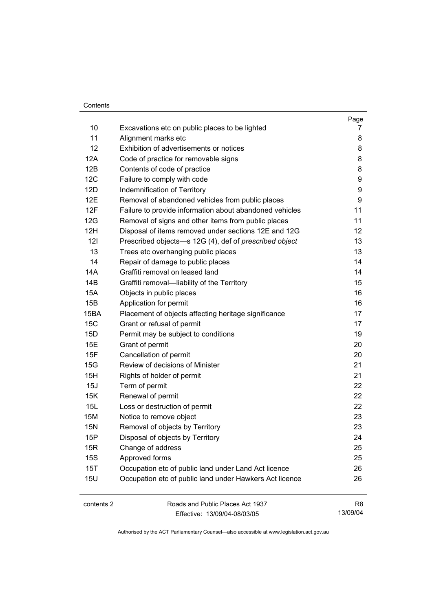#### **Contents**

|            |                                                         | Page           |
|------------|---------------------------------------------------------|----------------|
| 10         | Excavations etc on public places to be lighted          | 7              |
| 11         | Alignment marks etc                                     | 8              |
| 12         | Exhibition of advertisements or notices                 | 8              |
| 12A        | Code of practice for removable signs                    | 8              |
| 12B        | Contents of code of practice                            | 8              |
| 12C        | Failure to comply with code                             | 9              |
| 12D        | Indemnification of Territory                            | 9              |
| 12E        | Removal of abandoned vehicles from public places        | 9              |
| 12F        | Failure to provide information about abandoned vehicles | 11             |
| 12G        | Removal of signs and other items from public places     | 11             |
| 12H        | Disposal of items removed under sections 12E and 12G    | 12             |
| 121        | Prescribed objects-s 12G (4), def of prescribed object  | 13             |
| 13         | Trees etc overhanging public places                     | 13             |
| 14         | Repair of damage to public places                       | 14             |
| 14A        | Graffiti removal on leased land                         | 14             |
| 14B        | Graffiti removal-liability of the Territory             | 15             |
| <b>15A</b> | Objects in public places                                | 16             |
| 15B        | Application for permit                                  | 16             |
| 15BA       | Placement of objects affecting heritage significance    | 17             |
| 15C        | Grant or refusal of permit                              | 17             |
| 15D        | Permit may be subject to conditions                     | 19             |
| 15E        | Grant of permit                                         | 20             |
| 15F        | Cancellation of permit                                  | 20             |
| 15G        | Review of decisions of Minister                         | 21             |
| 15H        | Rights of holder of permit                              | 21             |
| 15J        | Term of permit                                          | 22             |
| 15K        | Renewal of permit                                       | 22             |
| 15L        | Loss or destruction of permit                           | 22             |
| 15M        | Notice to remove object                                 | 23             |
| <b>15N</b> | Removal of objects by Territory                         | 23             |
| 15P        | Disposal of objects by Territory                        | 24             |
| 15R        | Change of address                                       | 25             |
| <b>15S</b> | Approved forms                                          | 25             |
| 15T        | Occupation etc of public land under Land Act licence    | 26             |
| <b>15U</b> | Occupation etc of public land under Hawkers Act licence | 26             |
| contents 2 | Roads and Public Places Act 1937                        | R <sub>8</sub> |
|            |                                                         |                |

Effective: 13/09/04-08/03/05

13/09/04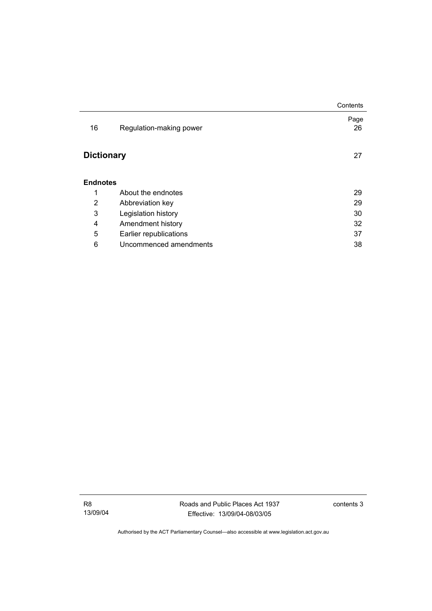|                   |                         | Contents   |
|-------------------|-------------------------|------------|
| 16                | Regulation-making power | Page<br>26 |
| <b>Dictionary</b> |                         | 27         |
| <b>Endnotes</b>   |                         |            |
| 1                 | About the endnotes      | 29         |
| 2                 | Abbreviation key        | 29         |
| 3                 | Legislation history     | 30         |
| 4                 | Amendment history       | 32         |
| 5                 | Earlier republications  | 37         |
| 6                 | Uncommenced amendments  | 38         |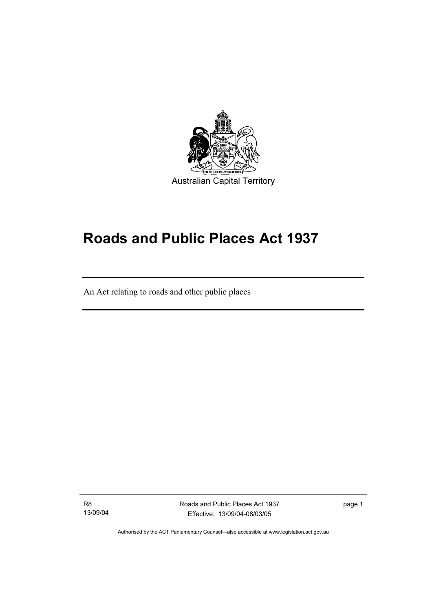

## **Roads and Public Places Act 1937**

An Act relating to roads and other public places

R8 13/09/04

I

Roads and Public Places Act 1937 Effective: 13/09/04-08/03/05

page 1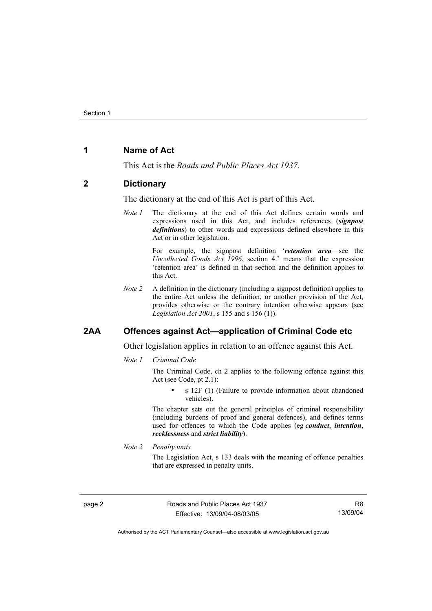## **1 Name of Act**

This Act is the *Roads and Public Places Act 1937*.

#### **2 Dictionary**

The dictionary at the end of this Act is part of this Act.

*Note 1* The dictionary at the end of this Act defines certain words and expressions used in this Act, and includes references (*signpost definitions*) to other words and expressions defined elsewhere in this Act or in other legislation.

> For example, the signpost definition '*retention area*—see the *Uncollected Goods Act 1996*, section 4.' means that the expression 'retention area' is defined in that section and the definition applies to this Act.

*Note 2* A definition in the dictionary (including a signpost definition) applies to the entire Act unless the definition, or another provision of the Act, provides otherwise or the contrary intention otherwise appears (see *Legislation Act 2001*, s 155 and s 156 (1)).

## **2AA Offences against Act—application of Criminal Code etc**

Other legislation applies in relation to an offence against this Act.

*Note 1 Criminal Code*

The Criminal Code, ch 2 applies to the following offence against this Act (see Code, pt 2.1):

s 12F (1) (Failure to provide information about abandoned vehicles).

The chapter sets out the general principles of criminal responsibility (including burdens of proof and general defences), and defines terms used for offences to which the Code applies (eg *conduct*, *intention*, *recklessness* and *strict liability*).

*Note 2 Penalty units* 

The Legislation Act, s 133 deals with the meaning of offence penalties that are expressed in penalty units.

page 2 Roads and Public Places Act 1937 Effective: 13/09/04-08/03/05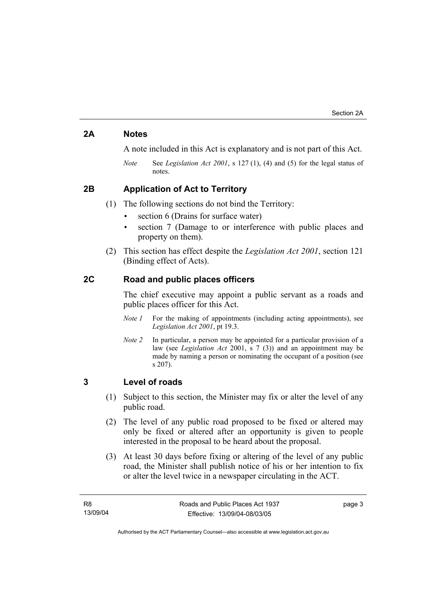## **2A Notes**

A note included in this Act is explanatory and is not part of this Act.

*Note* See *Legislation Act 2001*, s 127 (1), (4) and (5) for the legal status of notes.

## **2B Application of Act to Territory**

(1) The following sections do not bind the Territory:

- section 6 (Drains for surface water)
- section 7 (Damage to or interference with public places and property on them).
- (2) This section has effect despite the *Legislation Act 2001*, section 121 (Binding effect of Acts).

## **2C Road and public places officers**

The chief executive may appoint a public servant as a roads and public places officer for this Act.

- *Note 1* For the making of appointments (including acting appointments), see *Legislation Act 2001*, pt 19.3.
- *Note 2* In particular, a person may be appointed for a particular provision of a law (see *Legislation Act* 2001, s 7 (3)) and an appointment may be made by naming a person or nominating the occupant of a position (see s 207).

## **3 Level of roads**

- (1) Subject to this section, the Minister may fix or alter the level of any public road.
- (2) The level of any public road proposed to be fixed or altered may only be fixed or altered after an opportunity is given to people interested in the proposal to be heard about the proposal.
- (3) At least 30 days before fixing or altering of the level of any public road, the Minister shall publish notice of his or her intention to fix or alter the level twice in a newspaper circulating in the ACT.

page 3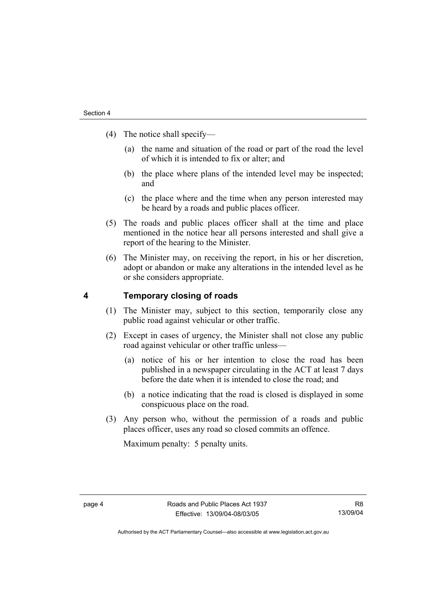- (4) The notice shall specify—
	- (a) the name and situation of the road or part of the road the level of which it is intended to fix or alter; and
	- (b) the place where plans of the intended level may be inspected; and
	- (c) the place where and the time when any person interested may be heard by a roads and public places officer.
- (5) The roads and public places officer shall at the time and place mentioned in the notice hear all persons interested and shall give a report of the hearing to the Minister.
- (6) The Minister may, on receiving the report, in his or her discretion, adopt or abandon or make any alterations in the intended level as he or she considers appropriate.

### **4 Temporary closing of roads**

- (1) The Minister may, subject to this section, temporarily close any public road against vehicular or other traffic.
- (2) Except in cases of urgency, the Minister shall not close any public road against vehicular or other traffic unless—
	- (a) notice of his or her intention to close the road has been published in a newspaper circulating in the ACT at least 7 days before the date when it is intended to close the road; and
	- (b) a notice indicating that the road is closed is displayed in some conspicuous place on the road.
- (3) Any person who, without the permission of a roads and public places officer, uses any road so closed commits an offence.

Maximum penalty: 5 penalty units.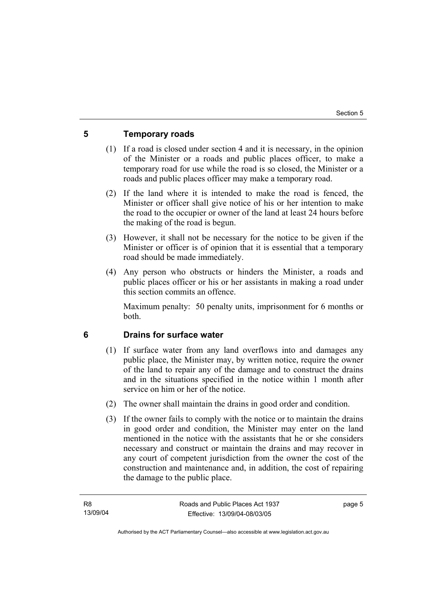## **5 Temporary roads**

- (1) If a road is closed under section 4 and it is necessary, in the opinion of the Minister or a roads and public places officer, to make a temporary road for use while the road is so closed, the Minister or a roads and public places officer may make a temporary road.
- (2) If the land where it is intended to make the road is fenced, the Minister or officer shall give notice of his or her intention to make the road to the occupier or owner of the land at least 24 hours before the making of the road is begun.
- (3) However, it shall not be necessary for the notice to be given if the Minister or officer is of opinion that it is essential that a temporary road should be made immediately.
- (4) Any person who obstructs or hinders the Minister, a roads and public places officer or his or her assistants in making a road under this section commits an offence.

Maximum penalty: 50 penalty units, imprisonment for 6 months or both.

## **6 Drains for surface water**

- (1) If surface water from any land overflows into and damages any public place, the Minister may, by written notice, require the owner of the land to repair any of the damage and to construct the drains and in the situations specified in the notice within 1 month after service on him or her of the notice.
- (2) The owner shall maintain the drains in good order and condition.
- (3) If the owner fails to comply with the notice or to maintain the drains in good order and condition, the Minister may enter on the land mentioned in the notice with the assistants that he or she considers necessary and construct or maintain the drains and may recover in any court of competent jurisdiction from the owner the cost of the construction and maintenance and, in addition, the cost of repairing the damage to the public place.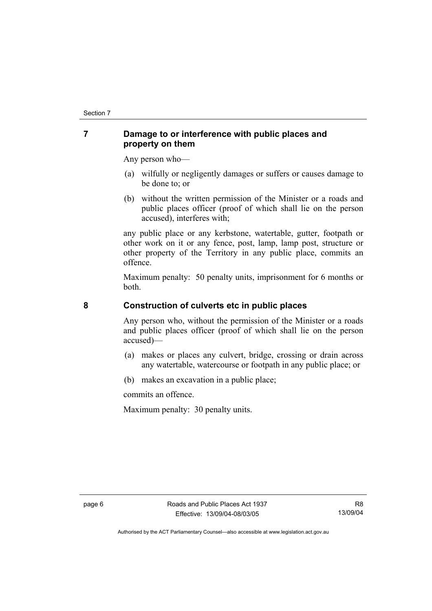## **7 Damage to or interference with public places and property on them**

Any person who—

- (a) wilfully or negligently damages or suffers or causes damage to be done to; or
- (b) without the written permission of the Minister or a roads and public places officer (proof of which shall lie on the person accused), interferes with;

any public place or any kerbstone, watertable, gutter, footpath or other work on it or any fence, post, lamp, lamp post, structure or other property of the Territory in any public place, commits an offence.

Maximum penalty: 50 penalty units, imprisonment for 6 months or both.

## **8 Construction of culverts etc in public places**

Any person who, without the permission of the Minister or a roads and public places officer (proof of which shall lie on the person accused)—

- (a) makes or places any culvert, bridge, crossing or drain across any watertable, watercourse or footpath in any public place; or
- (b) makes an excavation in a public place;

commits an offence.

Maximum penalty: 30 penalty units.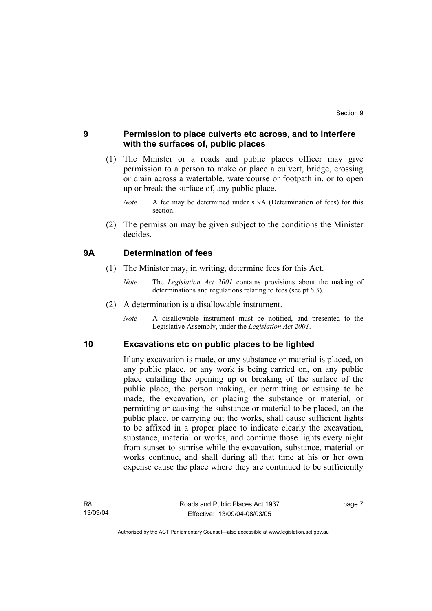## **9 Permission to place culverts etc across, and to interfere with the surfaces of, public places**

- (1) The Minister or a roads and public places officer may give permission to a person to make or place a culvert, bridge, crossing or drain across a watertable, watercourse or footpath in, or to open up or break the surface of, any public place.
	- *Note* A fee may be determined under s 9A (Determination of fees) for this section.
- (2) The permission may be given subject to the conditions the Minister decides.

### **9A Determination of fees**

- (1) The Minister may, in writing, determine fees for this Act.
	- *Note* The *Legislation Act 2001* contains provisions about the making of determinations and regulations relating to fees (see pt 6.3).
- (2) A determination is a disallowable instrument.
	- *Note* A disallowable instrument must be notified, and presented to the Legislative Assembly, under the *Legislation Act 2001*.

#### **10 Excavations etc on public places to be lighted**

If any excavation is made, or any substance or material is placed, on any public place, or any work is being carried on, on any public place entailing the opening up or breaking of the surface of the public place, the person making, or permitting or causing to be made, the excavation, or placing the substance or material, or permitting or causing the substance or material to be placed, on the public place, or carrying out the works, shall cause sufficient lights to be affixed in a proper place to indicate clearly the excavation, substance, material or works, and continue those lights every night from sunset to sunrise while the excavation, substance, material or works continue, and shall during all that time at his or her own expense cause the place where they are continued to be sufficiently

page 7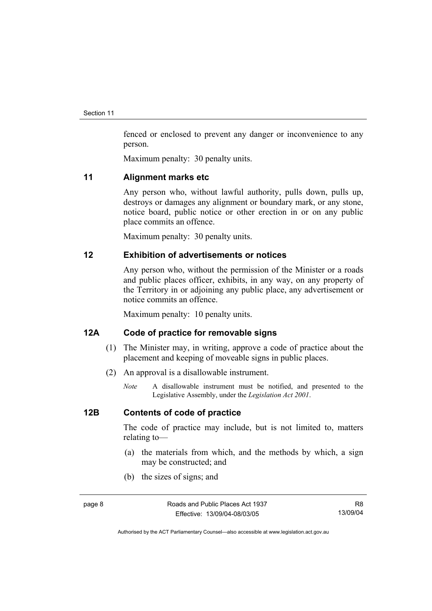fenced or enclosed to prevent any danger or inconvenience to any person.

Maximum penalty: 30 penalty units.

#### **11 Alignment marks etc**

Any person who, without lawful authority, pulls down, pulls up, destroys or damages any alignment or boundary mark, or any stone, notice board, public notice or other erection in or on any public place commits an offence.

Maximum penalty: 30 penalty units.

## **12 Exhibition of advertisements or notices**

Any person who, without the permission of the Minister or a roads and public places officer, exhibits, in any way, on any property of the Territory in or adjoining any public place, any advertisement or notice commits an offence.

Maximum penalty: 10 penalty units.

## **12A Code of practice for removable signs**

- (1) The Minister may, in writing, approve a code of practice about the placement and keeping of moveable signs in public places.
- (2) An approval is a disallowable instrument.
	- *Note* A disallowable instrument must be notified, and presented to the Legislative Assembly, under the *Legislation Act 2001*.

## **12B Contents of code of practice**

The code of practice may include, but is not limited to, matters relating to—

- (a) the materials from which, and the methods by which, a sign may be constructed; and
- (b) the sizes of signs; and

Authorised by the ACT Parliamentary Counsel—also accessible at www.legislation.act.gov.au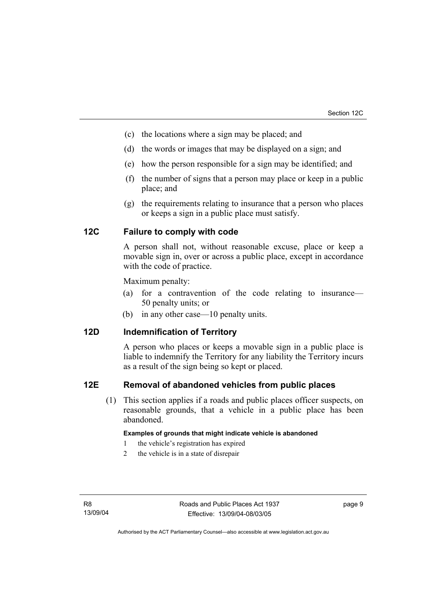- (c) the locations where a sign may be placed; and
- (d) the words or images that may be displayed on a sign; and
- (e) how the person responsible for a sign may be identified; and
- (f) the number of signs that a person may place or keep in a public place; and
- (g) the requirements relating to insurance that a person who places or keeps a sign in a public place must satisfy.

## **12C Failure to comply with code**

A person shall not, without reasonable excuse, place or keep a movable sign in, over or across a public place, except in accordance with the code of practice.

Maximum penalty:

- (a) for a contravention of the code relating to insurance— 50 penalty units; or
- (b) in any other case—10 penalty units.

## **12D Indemnification of Territory**

A person who places or keeps a movable sign in a public place is liable to indemnify the Territory for any liability the Territory incurs as a result of the sign being so kept or placed.

#### **12E Removal of abandoned vehicles from public places**

 (1) This section applies if a roads and public places officer suspects, on reasonable grounds, that a vehicle in a public place has been abandoned.

#### **Examples of grounds that might indicate vehicle is abandoned**

- 1 the vehicle's registration has expired
- 2 the vehicle is in a state of disrepair

page 9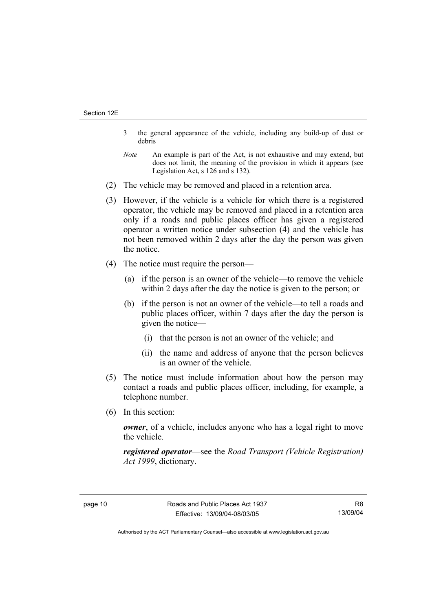- 3 the general appearance of the vehicle, including any build-up of dust or debris
- *Note* An example is part of the Act, is not exhaustive and may extend, but does not limit, the meaning of the provision in which it appears (see Legislation Act, s 126 and s 132).
- (2) The vehicle may be removed and placed in a retention area.
- (3) However, if the vehicle is a vehicle for which there is a registered operator, the vehicle may be removed and placed in a retention area only if a roads and public places officer has given a registered operator a written notice under subsection (4) and the vehicle has not been removed within 2 days after the day the person was given the notice.
- (4) The notice must require the person—
	- (a) if the person is an owner of the vehicle—to remove the vehicle within 2 days after the day the notice is given to the person; or
	- (b) if the person is not an owner of the vehicle—to tell a roads and public places officer, within 7 days after the day the person is given the notice—
		- (i) that the person is not an owner of the vehicle; and
		- (ii) the name and address of anyone that the person believes is an owner of the vehicle.
- (5) The notice must include information about how the person may contact a roads and public places officer, including, for example, a telephone number.
- (6) In this section:

*owner*, of a vehicle, includes anyone who has a legal right to move the vehicle.

*registered operator*—see the *Road Transport (Vehicle Registration) Act 1999*, dictionary.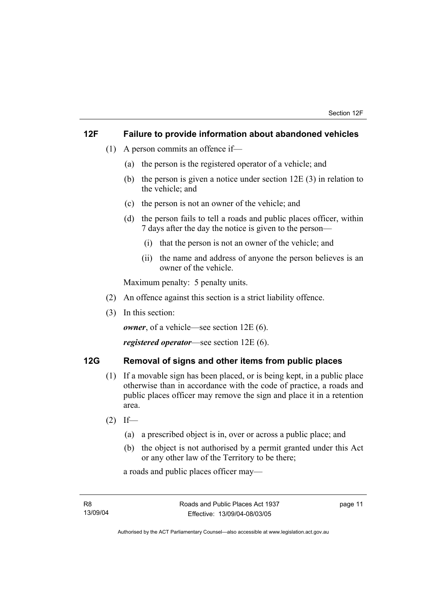## **12F Failure to provide information about abandoned vehicles**

- (1) A person commits an offence if—
	- (a) the person is the registered operator of a vehicle; and
	- (b) the person is given a notice under section 12E (3) in relation to the vehicle; and
	- (c) the person is not an owner of the vehicle; and
	- (d) the person fails to tell a roads and public places officer, within 7 days after the day the notice is given to the person—
		- (i) that the person is not an owner of the vehicle; and
		- (ii) the name and address of anyone the person believes is an owner of the vehicle.

Maximum penalty: 5 penalty units.

- (2) An offence against this section is a strict liability offence.
- (3) In this section:

*owner*, of a vehicle—see section 12E (6).

*registered operator*—see section 12E (6).

## **12G Removal of signs and other items from public places**

- (1) If a movable sign has been placed, or is being kept, in a public place otherwise than in accordance with the code of practice, a roads and public places officer may remove the sign and place it in a retention area.
- $(2)$  If—
	- (a) a prescribed object is in, over or across a public place; and
	- (b) the object is not authorised by a permit granted under this Act or any other law of the Territory to be there;

a roads and public places officer may—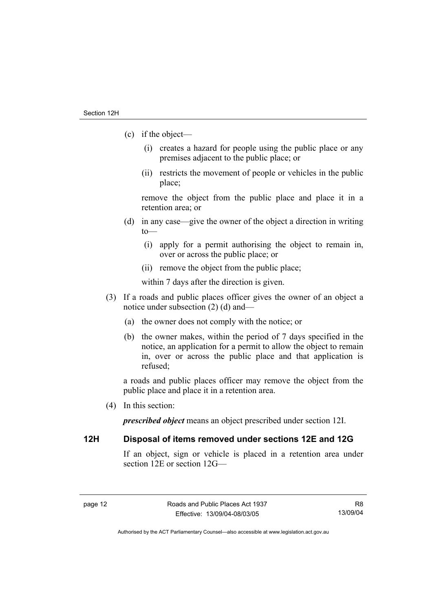- (c) if the object—
	- (i) creates a hazard for people using the public place or any premises adjacent to the public place; or
	- (ii) restricts the movement of people or vehicles in the public place;

remove the object from the public place and place it in a retention area; or

- (d) in any case—give the owner of the object a direction in writing to—
	- (i) apply for a permit authorising the object to remain in, over or across the public place; or
	- (ii) remove the object from the public place;

within 7 days after the direction is given.

- (3) If a roads and public places officer gives the owner of an object a notice under subsection (2) (d) and—
	- (a) the owner does not comply with the notice; or
	- (b) the owner makes, within the period of 7 days specified in the notice, an application for a permit to allow the object to remain in, over or across the public place and that application is refused;

a roads and public places officer may remove the object from the public place and place it in a retention area.

(4) In this section:

*prescribed object* means an object prescribed under section 12I.

## **12H Disposal of items removed under sections 12E and 12G**

If an object, sign or vehicle is placed in a retention area under section 12E or section 12G—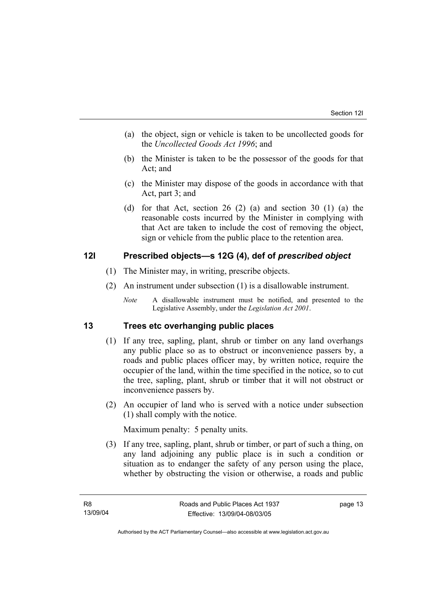- (a) the object, sign or vehicle is taken to be uncollected goods for the *Uncollected Goods Act 1996*; and
- (b) the Minister is taken to be the possessor of the goods for that Act; and
- (c) the Minister may dispose of the goods in accordance with that Act, part 3; and
- (d) for that Act, section 26 (2) (a) and section 30 (1) (a) the reasonable costs incurred by the Minister in complying with that Act are taken to include the cost of removing the object, sign or vehicle from the public place to the retention area.

## **12I Prescribed objects—s 12G (4), def of** *prescribed object*

- (1) The Minister may, in writing, prescribe objects.
- (2) An instrument under subsection (1) is a disallowable instrument.
	- *Note* A disallowable instrument must be notified, and presented to the Legislative Assembly, under the *Legislation Act 2001*.

## **13 Trees etc overhanging public places**

- (1) If any tree, sapling, plant, shrub or timber on any land overhangs any public place so as to obstruct or inconvenience passers by, a roads and public places officer may, by written notice, require the occupier of the land, within the time specified in the notice, so to cut the tree, sapling, plant, shrub or timber that it will not obstruct or inconvenience passers by.
- (2) An occupier of land who is served with a notice under subsection (1) shall comply with the notice.

Maximum penalty: 5 penalty units.

 (3) If any tree, sapling, plant, shrub or timber, or part of such a thing, on any land adjoining any public place is in such a condition or situation as to endanger the safety of any person using the place, whether by obstructing the vision or otherwise, a roads and public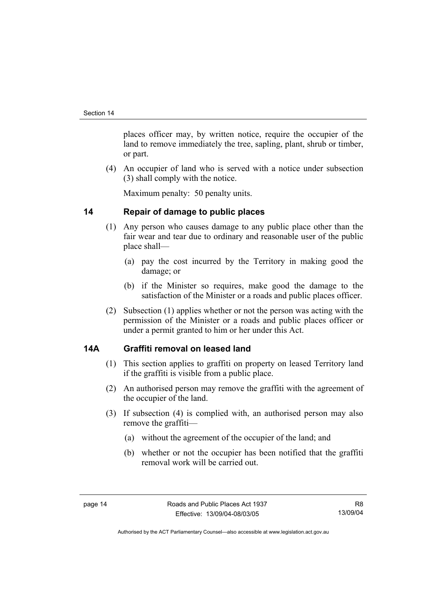places officer may, by written notice, require the occupier of the land to remove immediately the tree, sapling, plant, shrub or timber, or part.

 (4) An occupier of land who is served with a notice under subsection (3) shall comply with the notice.

Maximum penalty: 50 penalty units.

## **14 Repair of damage to public places**

- (1) Any person who causes damage to any public place other than the fair wear and tear due to ordinary and reasonable user of the public place shall—
	- (a) pay the cost incurred by the Territory in making good the damage; or
	- (b) if the Minister so requires, make good the damage to the satisfaction of the Minister or a roads and public places officer.
- (2) Subsection (1) applies whether or not the person was acting with the permission of the Minister or a roads and public places officer or under a permit granted to him or her under this Act.

## **14A Graffiti removal on leased land**

- (1) This section applies to graffiti on property on leased Territory land if the graffiti is visible from a public place.
- (2) An authorised person may remove the graffiti with the agreement of the occupier of the land.
- (3) If subsection (4) is complied with, an authorised person may also remove the graffiti—
	- (a) without the agreement of the occupier of the land; and
	- (b) whether or not the occupier has been notified that the graffiti removal work will be carried out.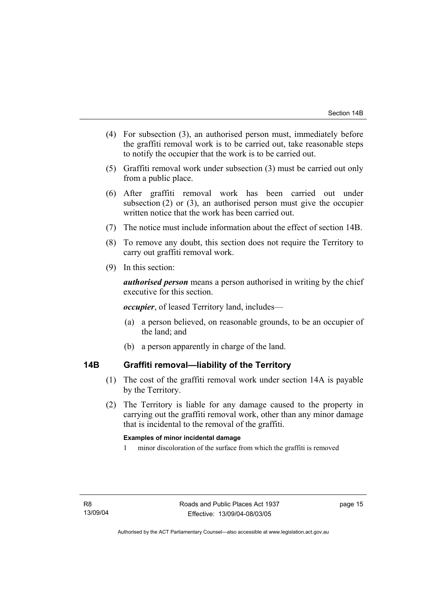- (4) For subsection (3), an authorised person must, immediately before the graffiti removal work is to be carried out, take reasonable steps to notify the occupier that the work is to be carried out.
- (5) Graffiti removal work under subsection (3) must be carried out only from a public place.
- (6) After graffiti removal work has been carried out under subsection (2) or (3), an authorised person must give the occupier written notice that the work has been carried out.
- (7) The notice must include information about the effect of section 14B.
- (8) To remove any doubt, this section does not require the Territory to carry out graffiti removal work.
- (9) In this section:

*authorised person* means a person authorised in writing by the chief executive for this section.

*occupier*, of leased Territory land, includes—

- (a) a person believed, on reasonable grounds, to be an occupier of the land; and
- (b) a person apparently in charge of the land.

## **14B Graffiti removal—liability of the Territory**

- (1) The cost of the graffiti removal work under section 14A is payable by the Territory.
- (2) The Territory is liable for any damage caused to the property in carrying out the graffiti removal work, other than any minor damage that is incidental to the removal of the graffiti.

#### **Examples of minor incidental damage**

1 minor discoloration of the surface from which the graffiti is removed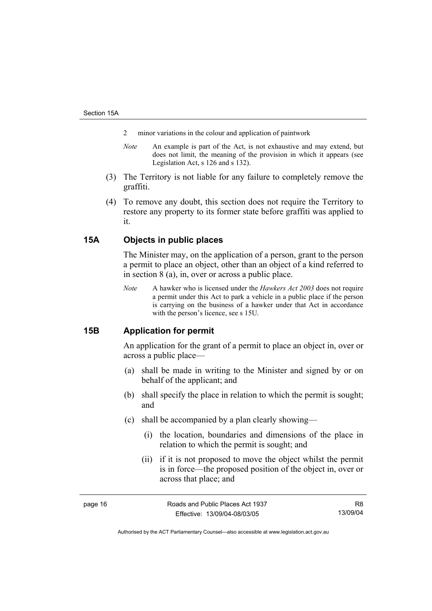- 2 minor variations in the colour and application of paintwork
- *Note* An example is part of the Act, is not exhaustive and may extend, but does not limit, the meaning of the provision in which it appears (see Legislation Act, s 126 and s 132).
- (3) The Territory is not liable for any failure to completely remove the graffiti.
- (4) To remove any doubt, this section does not require the Territory to restore any property to its former state before graffiti was applied to it.

## **15A Objects in public places**

The Minister may, on the application of a person, grant to the person a permit to place an object, other than an object of a kind referred to in section 8 (a), in, over or across a public place.

*Note* A hawker who is licensed under the *Hawkers Act 2003* does not require a permit under this Act to park a vehicle in a public place if the person is carrying on the business of a hawker under that Act in accordance with the person's licence, see s 15U.

## **15B Application for permit**

An application for the grant of a permit to place an object in, over or across a public place—

- (a) shall be made in writing to the Minister and signed by or on behalf of the applicant; and
- (b) shall specify the place in relation to which the permit is sought; and
- (c) shall be accompanied by a plan clearly showing—
	- (i) the location, boundaries and dimensions of the place in relation to which the permit is sought; and
	- (ii) if it is not proposed to move the object whilst the permit is in force—the proposed position of the object in, over or across that place; and

page 16 **Roads** and Public Places Act 1937 Effective: 13/09/04-08/03/05

Authorised by the ACT Parliamentary Counsel—also accessible at www.legislation.act.gov.au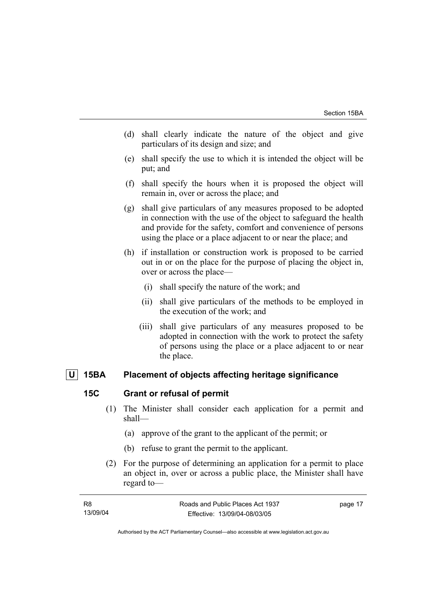- (d) shall clearly indicate the nature of the object and give particulars of its design and size; and
- (e) shall specify the use to which it is intended the object will be put; and
- (f) shall specify the hours when it is proposed the object will remain in, over or across the place; and
- (g) shall give particulars of any measures proposed to be adopted in connection with the use of the object to safeguard the health and provide for the safety, comfort and convenience of persons using the place or a place adjacent to or near the place; and
- (h) if installation or construction work is proposed to be carried out in or on the place for the purpose of placing the object in, over or across the place—
	- (i) shall specify the nature of the work; and
	- (ii) shall give particulars of the methods to be employed in the execution of the work; and
	- (iii) shall give particulars of any measures proposed to be adopted in connection with the work to protect the safety of persons using the place or a place adjacent to or near the place.

### **U 15BA Placement of objects affecting heritage significance**

### **15C Grant or refusal of permit**

- (1) The Minister shall consider each application for a permit and shall—
	- (a) approve of the grant to the applicant of the permit; or
	- (b) refuse to grant the permit to the applicant.
- (2) For the purpose of determining an application for a permit to place an object in, over or across a public place, the Minister shall have regard to—

| R8       | Roads and Public Places Act 1937 | page 17 |
|----------|----------------------------------|---------|
| 13/09/04 | Effective: 13/09/04-08/03/05     |         |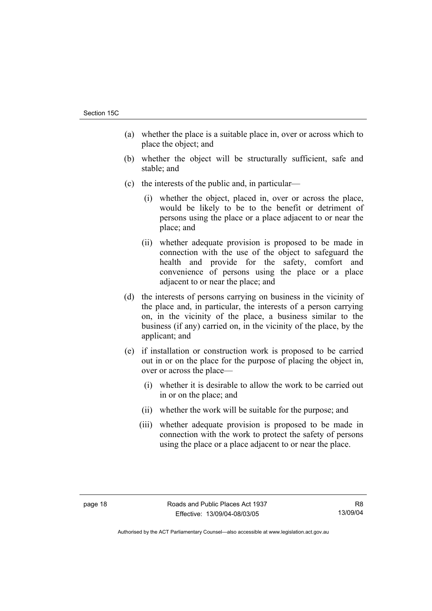- (a) whether the place is a suitable place in, over or across which to place the object; and
- (b) whether the object will be structurally sufficient, safe and stable; and
- (c) the interests of the public and, in particular—
	- (i) whether the object, placed in, over or across the place, would be likely to be to the benefit or detriment of persons using the place or a place adjacent to or near the place; and
	- (ii) whether adequate provision is proposed to be made in connection with the use of the object to safeguard the health and provide for the safety, comfort and convenience of persons using the place or a place adjacent to or near the place; and
- (d) the interests of persons carrying on business in the vicinity of the place and, in particular, the interests of a person carrying on, in the vicinity of the place, a business similar to the business (if any) carried on, in the vicinity of the place, by the applicant; and
- (e) if installation or construction work is proposed to be carried out in or on the place for the purpose of placing the object in, over or across the place—
	- (i) whether it is desirable to allow the work to be carried out in or on the place; and
	- (ii) whether the work will be suitable for the purpose; and
	- (iii) whether adequate provision is proposed to be made in connection with the work to protect the safety of persons using the place or a place adjacent to or near the place.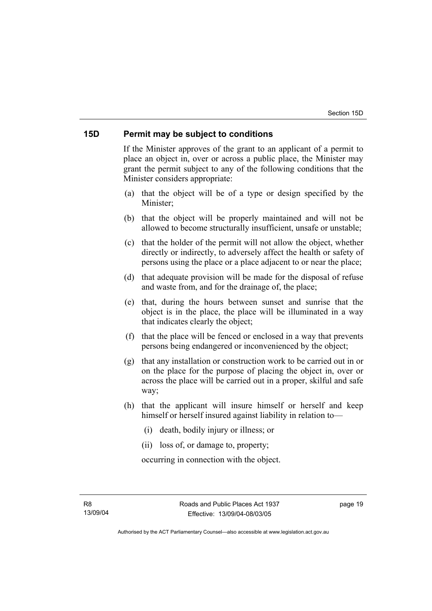#### **15D Permit may be subject to conditions**

If the Minister approves of the grant to an applicant of a permit to place an object in, over or across a public place, the Minister may grant the permit subject to any of the following conditions that the Minister considers appropriate:

- (a) that the object will be of a type or design specified by the Minister;
- (b) that the object will be properly maintained and will not be allowed to become structurally insufficient, unsafe or unstable;
- (c) that the holder of the permit will not allow the object, whether directly or indirectly, to adversely affect the health or safety of persons using the place or a place adjacent to or near the place;
- (d) that adequate provision will be made for the disposal of refuse and waste from, and for the drainage of, the place;
- (e) that, during the hours between sunset and sunrise that the object is in the place, the place will be illuminated in a way that indicates clearly the object;
- (f) that the place will be fenced or enclosed in a way that prevents persons being endangered or inconvenienced by the object;
- (g) that any installation or construction work to be carried out in or on the place for the purpose of placing the object in, over or across the place will be carried out in a proper, skilful and safe way;
- (h) that the applicant will insure himself or herself and keep himself or herself insured against liability in relation to—
	- (i) death, bodily injury or illness; or
	- (ii) loss of, or damage to, property;

occurring in connection with the object.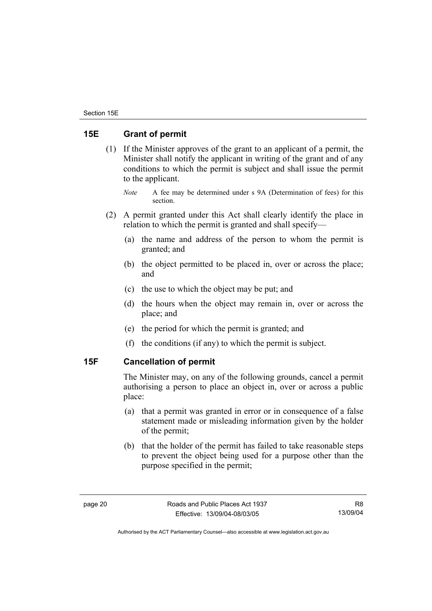## **15E Grant of permit**

- (1) If the Minister approves of the grant to an applicant of a permit, the Minister shall notify the applicant in writing of the grant and of any conditions to which the permit is subject and shall issue the permit to the applicant.
	- *Note* A fee may be determined under s 9A (Determination of fees) for this section.
- (2) A permit granted under this Act shall clearly identify the place in relation to which the permit is granted and shall specify—
	- (a) the name and address of the person to whom the permit is granted; and
	- (b) the object permitted to be placed in, over or across the place; and
	- (c) the use to which the object may be put; and
	- (d) the hours when the object may remain in, over or across the place; and
	- (e) the period for which the permit is granted; and
	- (f) the conditions (if any) to which the permit is subject.

## **15F Cancellation of permit**

The Minister may, on any of the following grounds, cancel a permit authorising a person to place an object in, over or across a public place:

- (a) that a permit was granted in error or in consequence of a false statement made or misleading information given by the holder of the permit;
- (b) that the holder of the permit has failed to take reasonable steps to prevent the object being used for a purpose other than the purpose specified in the permit;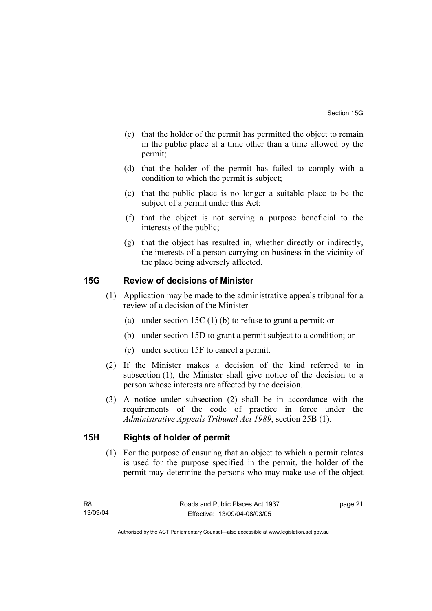- (c) that the holder of the permit has permitted the object to remain in the public place at a time other than a time allowed by the permit;
- (d) that the holder of the permit has failed to comply with a condition to which the permit is subject;
- (e) that the public place is no longer a suitable place to be the subject of a permit under this Act;
- (f) that the object is not serving a purpose beneficial to the interests of the public;
- (g) that the object has resulted in, whether directly or indirectly, the interests of a person carrying on business in the vicinity of the place being adversely affected.

## **15G Review of decisions of Minister**

- (1) Application may be made to the administrative appeals tribunal for a review of a decision of the Minister—
	- (a) under section 15C (1) (b) to refuse to grant a permit; or
	- (b) under section 15D to grant a permit subject to a condition; or
	- (c) under section 15F to cancel a permit.
- (2) If the Minister makes a decision of the kind referred to in subsection (1), the Minister shall give notice of the decision to a person whose interests are affected by the decision.
- (3) A notice under subsection (2) shall be in accordance with the requirements of the code of practice in force under the *Administrative Appeals Tribunal Act 1989*, section 25B (1).

## **15H Rights of holder of permit**

 (1) For the purpose of ensuring that an object to which a permit relates is used for the purpose specified in the permit, the holder of the permit may determine the persons who may make use of the object

page 21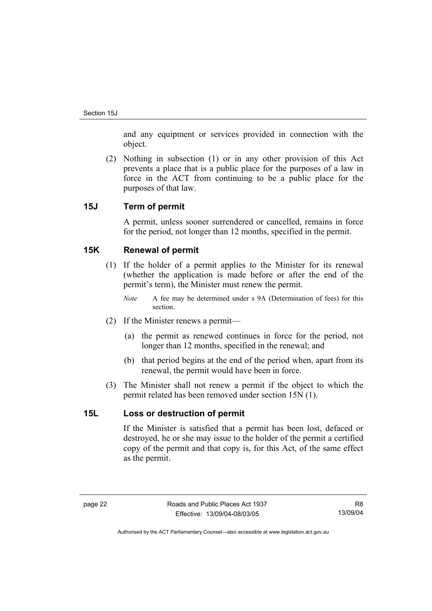and any equipment or services provided in connection with the object.

 (2) Nothing in subsection (1) or in any other provision of this Act prevents a place that is a public place for the purposes of a law in force in the ACT from continuing to be a public place for the purposes of that law.

#### **15J Term of permit**

A permit, unless sooner surrendered or cancelled, remains in force for the period, not longer than 12 months, specified in the permit.

### **15K Renewal of permit**

- (1) If the holder of a permit applies to the Minister for its renewal (whether the application is made before or after the end of the permit's term), the Minister must renew the permit.
	- *Note* A fee may be determined under s 9A (Determination of fees) for this section.
- (2) If the Minister renews a permit—
	- (a) the permit as renewed continues in force for the period, not longer than 12 months, specified in the renewal; and
	- (b) that period begins at the end of the period when, apart from its renewal, the permit would have been in force.
- (3) The Minister shall not renew a permit if the object to which the permit related has been removed under section 15N (1).

#### **15L Loss or destruction of permit**

If the Minister is satisfied that a permit has been lost, defaced or destroyed, he or she may issue to the holder of the permit a certified copy of the permit and that copy is, for this Act, of the same effect as the permit.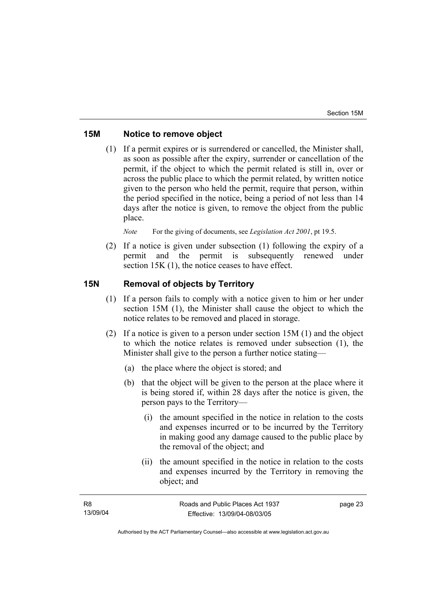## **15M Notice to remove object**

 (1) If a permit expires or is surrendered or cancelled, the Minister shall, as soon as possible after the expiry, surrender or cancellation of the permit, if the object to which the permit related is still in, over or across the public place to which the permit related, by written notice given to the person who held the permit, require that person, within the period specified in the notice, being a period of not less than 14 days after the notice is given, to remove the object from the public place.

*Note* For the giving of documents, see *Legislation Act 2001*, pt 19.5.

 (2) If a notice is given under subsection (1) following the expiry of a permit and the permit is subsequently renewed under section 15K (1), the notice ceases to have effect.

## **15N Removal of objects by Territory**

- (1) If a person fails to comply with a notice given to him or her under section 15M (1), the Minister shall cause the object to which the notice relates to be removed and placed in storage.
- (2) If a notice is given to a person under section 15M (1) and the object to which the notice relates is removed under subsection (1), the Minister shall give to the person a further notice stating—
	- (a) the place where the object is stored; and
	- (b) that the object will be given to the person at the place where it is being stored if, within 28 days after the notice is given, the person pays to the Territory—
		- (i) the amount specified in the notice in relation to the costs and expenses incurred or to be incurred by the Territory in making good any damage caused to the public place by the removal of the object; and
		- (ii) the amount specified in the notice in relation to the costs and expenses incurred by the Territory in removing the object; and

| - R8     | Roads and Public Places Act 1937 | page 23 |
|----------|----------------------------------|---------|
| 13/09/04 | Effective: 13/09/04-08/03/05     |         |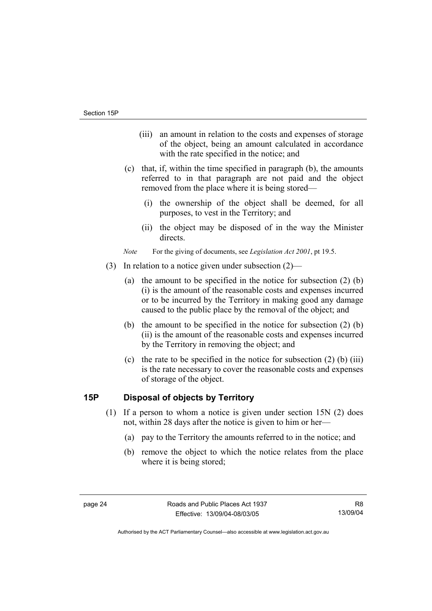- (iii) an amount in relation to the costs and expenses of storage of the object, being an amount calculated in accordance with the rate specified in the notice; and
- (c) that, if, within the time specified in paragraph (b), the amounts referred to in that paragraph are not paid and the object removed from the place where it is being stored—
	- (i) the ownership of the object shall be deemed, for all purposes, to vest in the Territory; and
	- (ii) the object may be disposed of in the way the Minister directs.

*Note* For the giving of documents, see *Legislation Act 2001*, pt 19.5.

- (3) In relation to a notice given under subsection (2)—
	- (a) the amount to be specified in the notice for subsection (2) (b) (i) is the amount of the reasonable costs and expenses incurred or to be incurred by the Territory in making good any damage caused to the public place by the removal of the object; and
	- (b) the amount to be specified in the notice for subsection (2) (b) (ii) is the amount of the reasonable costs and expenses incurred by the Territory in removing the object; and
	- (c) the rate to be specified in the notice for subsection  $(2)$  (b) (iii) is the rate necessary to cover the reasonable costs and expenses of storage of the object.

## **15P Disposal of objects by Territory**

- (1) If a person to whom a notice is given under section 15N (2) does not, within 28 days after the notice is given to him or her—
	- (a) pay to the Territory the amounts referred to in the notice; and
	- (b) remove the object to which the notice relates from the place where it is being stored;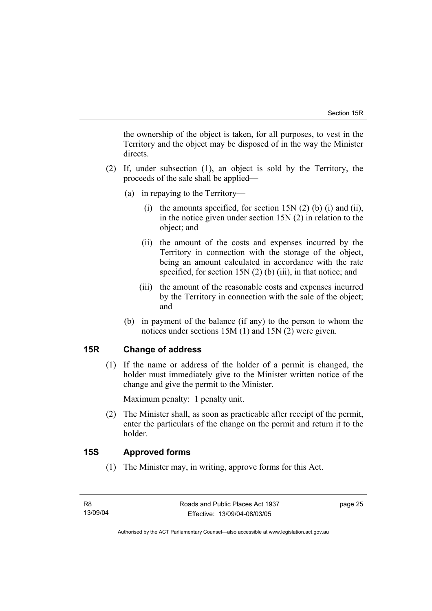the ownership of the object is taken, for all purposes, to vest in the Territory and the object may be disposed of in the way the Minister directs.

- (2) If, under subsection (1), an object is sold by the Territory, the proceeds of the sale shall be applied—
	- (a) in repaying to the Territory—
		- (i) the amounts specified, for section  $15N(2)$  (b) (i) and (ii), in the notice given under section 15N (2) in relation to the object; and
		- (ii) the amount of the costs and expenses incurred by the Territory in connection with the storage of the object, being an amount calculated in accordance with the rate specified, for section 15N (2) (b) (iii), in that notice; and
		- (iii) the amount of the reasonable costs and expenses incurred by the Territory in connection with the sale of the object; and
	- (b) in payment of the balance (if any) to the person to whom the notices under sections 15M (1) and 15N (2) were given.

## **15R Change of address**

 (1) If the name or address of the holder of a permit is changed, the holder must immediately give to the Minister written notice of the change and give the permit to the Minister.

Maximum penalty: 1 penalty unit.

 (2) The Minister shall, as soon as practicable after receipt of the permit, enter the particulars of the change on the permit and return it to the holder.

## **15S Approved forms**

(1) The Minister may, in writing, approve forms for this Act.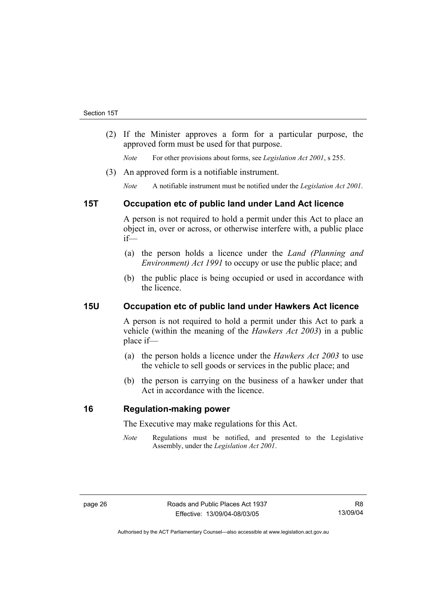(2) If the Minister approves a form for a particular purpose, the approved form must be used for that purpose.

*Note* For other provisions about forms, see *Legislation Act 2001*, s 255.

(3) An approved form is a notifiable instrument.

*Note* A notifiable instrument must be notified under the *Legislation Act 2001*.

## **15T Occupation etc of public land under Land Act licence**

A person is not required to hold a permit under this Act to place an object in, over or across, or otherwise interfere with, a public place if—

- (a) the person holds a licence under the *Land (Planning and Environment) Act 1991* to occupy or use the public place; and
- (b) the public place is being occupied or used in accordance with the licence.

## **15U Occupation etc of public land under Hawkers Act licence**

A person is not required to hold a permit under this Act to park a vehicle (within the meaning of the *Hawkers Act 2003*) in a public place if—

- (a) the person holds a licence under the *Hawkers Act 2003* to use the vehicle to sell goods or services in the public place; and
- (b) the person is carrying on the business of a hawker under that Act in accordance with the licence.

## **16 Regulation-making power**

The Executive may make regulations for this Act.

*Note* Regulations must be notified, and presented to the Legislative Assembly, under the *Legislation Act 2001*.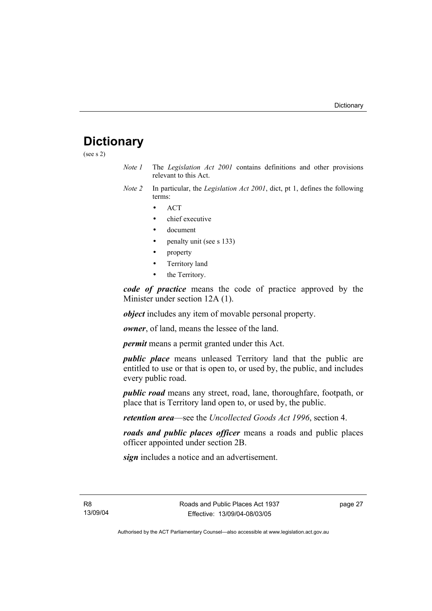## **Dictionary**

(see s 2)

- *Note 1* The *Legislation Act 2001* contains definitions and other provisions relevant to this Act.
- *Note 2* In particular, the *Legislation Act 2001*, dict, pt 1, defines the following terms:
	- ACT
	- chief executive
	- document
	- penalty unit (see s 133)
	- property
	- Territory land
	- the Territory.

*code of practice* means the code of practice approved by the Minister under section 12A (1).

*object* includes any item of movable personal property.

*owner*, of land, means the lessee of the land.

*permit* means a permit granted under this Act.

*public place* means unleased Territory land that the public are entitled to use or that is open to, or used by, the public, and includes every public road.

*public road* means any street, road, lane, thoroughfare, footpath, or place that is Territory land open to, or used by, the public.

*retention area*—see the *Uncollected Goods Act 1996*, section 4.

*roads and public places officer* means a roads and public places officer appointed under section 2B.

*sign* includes a notice and an advertisement.

R8 13/09/04 page 27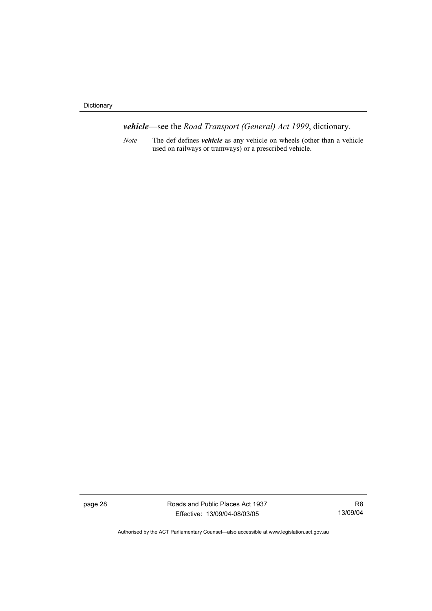Dictionary

*vehicle*—see the *Road Transport (General) Act 1999*, dictionary.

*Note* The def defines *vehicle* as any vehicle on wheels (other than a vehicle used on railways or tramways) or a prescribed vehicle.

page 28 Roads and Public Places Act 1937 Effective: 13/09/04-08/03/05

R8 13/09/04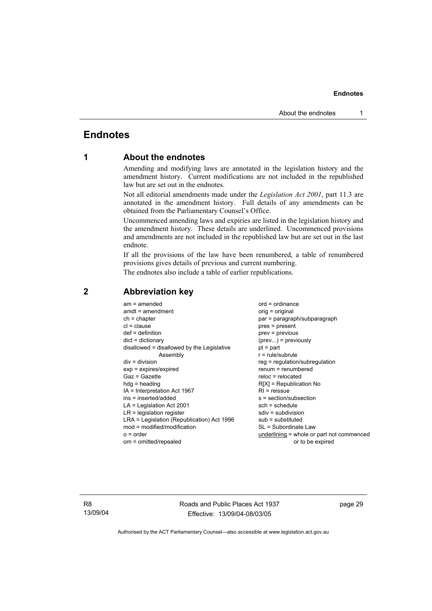## **Endnotes**

## **1 About the endnotes**

Amending and modifying laws are annotated in the legislation history and the amendment history. Current modifications are not included in the republished law but are set out in the endnotes.

Not all editorial amendments made under the *Legislation Act 2001*, part 11.3 are annotated in the amendment history. Full details of any amendments can be obtained from the Parliamentary Counsel's Office.

Uncommenced amending laws and expiries are listed in the legislation history and the amendment history. These details are underlined. Uncommenced provisions and amendments are not included in the republished law but are set out in the last endnote.

If all the provisions of the law have been renumbered, a table of renumbered provisions gives details of previous and current numbering.

The endnotes also include a table of earlier republications.

| $am = amended$                             | $ord = ordinance$                         |
|--------------------------------------------|-------------------------------------------|
| $amdt = amendment$                         | orig = original                           |
| $ch = chapter$                             | par = paragraph/subparagraph              |
| $cl = clause$                              | $pres = present$                          |
| $def = definition$                         | $prev = previous$                         |
| $dict = dictionary$                        | $(\text{prev}) = \text{previously}$       |
| disallowed = disallowed by the Legislative | $pt = part$                               |
| Assembly                                   | $r = rule/subrule$                        |
| $div = division$                           | reg = regulation/subregulation            |
| $exp = expires/expired$                    | $renum = renumbered$                      |
| Gaz = Gazette                              | $reloc = relocated$                       |
| $hdg =$ heading                            | $R[X]$ = Republication No                 |
| IA = Interpretation Act 1967               | $RI =$ reissue                            |
| ins = inserted/added                       | s = section/subsection                    |
| $LA =$ Legislation Act 2001                | $sch = schedule$                          |
| $LR =$ legislation register                | $sdiv = subdivision$                      |
| LRA = Legislation (Republication) Act 1996 | $sub =$ substituted                       |
| $mod = modified/modification$              | SL = Subordinate Law                      |
| $o = order$                                | underlining = whole or part not commenced |
| om = omitted/repealed                      | or to be expired                          |

### **2 Abbreviation key**

R8 13/09/04 Roads and Public Places Act 1937 Effective: 13/09/04-08/03/05

page 29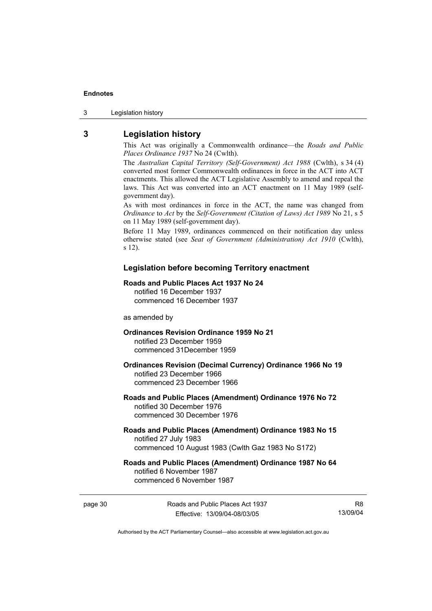3 Legislation history

## **3 Legislation history**

This Act was originally a Commonwealth ordinance—the *Roads and Public Places Ordinance 1937* No 24 (Cwlth).

The *Australian Capital Territory (Self-Government) Act 1988* (Cwlth), s 34 (4) converted most former Commonwealth ordinances in force in the ACT into ACT enactments. This allowed the ACT Legislative Assembly to amend and repeal the laws. This Act was converted into an ACT enactment on 11 May 1989 (selfgovernment day).

As with most ordinances in force in the ACT, the name was changed from *Ordinance* to *Act* by the *Self-Government (Citation of Laws) Act 1989* No 21, s 5 on 11 May 1989 (self-government day).

Before 11 May 1989, ordinances commenced on their notification day unless otherwise stated (see *Seat of Government (Administration) Act 1910* (Cwlth), s 12).

#### **Legislation before becoming Territory enactment**

#### **Roads and Public Places Act 1937 No 24**

notified 16 December 1937 commenced 16 December 1937

as amended by

#### **Ordinances Revision Ordinance 1959 No 21**  notified 23 December 1959

commenced 31December 1959

#### **Ordinances Revision (Decimal Currency) Ordinance 1966 No 19**  notified 23 December 1966 commenced 23 December 1966

#### **Roads and Public Places (Amendment) Ordinance 1976 No 72**  notified 30 December 1976 commenced 30 December 1976

#### **Roads and Public Places (Amendment) Ordinance 1983 No 15**  notified 27 July 1983 commenced 10 August 1983 (Cwlth Gaz 1983 No S172)

#### **Roads and Public Places (Amendment) Ordinance 1987 No 64**  notified 6 November 1987 commenced 6 November 1987

page 30 Roads and Public Places Act 1937 Effective: 13/09/04-08/03/05

R8 13/09/04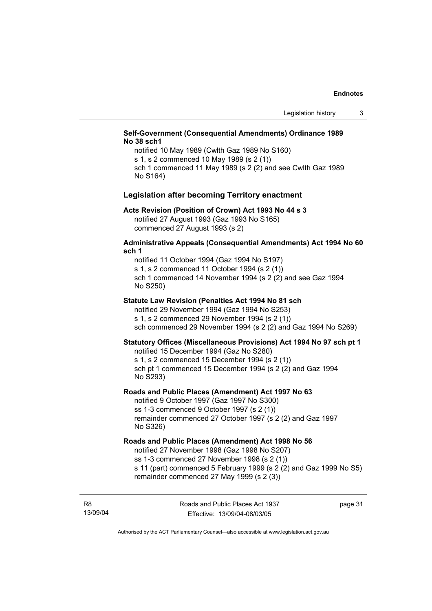#### **Self-Government (Consequential Amendments) Ordinance 1989 No 38 sch1**

notified 10 May 1989 (Cwlth Gaz 1989 No S160) s 1, s 2 commenced 10 May 1989 (s 2 (1)) sch 1 commenced 11 May 1989 (s 2 (2) and see Cwlth Gaz 1989 No S164)

#### **Legislation after becoming Territory enactment**

#### **Acts Revision (Position of Crown) Act 1993 No 44 s 3**

notified 27 August 1993 (Gaz 1993 No S165) commenced 27 August 1993 (s 2)

#### **Administrative Appeals (Consequential Amendments) Act 1994 No 60 sch 1**

notified 11 October 1994 (Gaz 1994 No S197) s 1, s 2 commenced 11 October 1994 (s 2 (1)) sch 1 commenced 14 November 1994 (s 2 (2) and see Gaz 1994 No S250)

#### **Statute Law Revision (Penalties Act 1994 No 81 sch**

notified 29 November 1994 (Gaz 1994 No S253) s 1, s 2 commenced 29 November 1994 (s 2 (1)) sch commenced 29 November 1994 (s 2 (2) and Gaz 1994 No S269)

#### **Statutory Offices (Miscellaneous Provisions) Act 1994 No 97 sch pt 1**

notified 15 December 1994 (Gaz No S280) s 1, s 2 commenced 15 December 1994 (s 2 (1)) sch pt 1 commenced 15 December 1994 (s 2 (2) and Gaz 1994 No S293)

#### **Roads and Public Places (Amendment) Act 1997 No 63**

notified 9 October 1997 (Gaz 1997 No S300) ss 1-3 commenced 9 October 1997 (s 2 (1)) remainder commenced 27 October 1997 (s 2 (2) and Gaz 1997 No S326)

#### **Roads and Public Places (Amendment) Act 1998 No 56**

notified 27 November 1998 (Gaz 1998 No S207) ss 1-3 commenced 27 November 1998 (s 2 (1)) s 11 (part) commenced 5 February 1999 (s 2 (2) and Gaz 1999 No S5)

remainder commenced 27 May 1999 (s 2 (3))

R8 13/09/04 page 31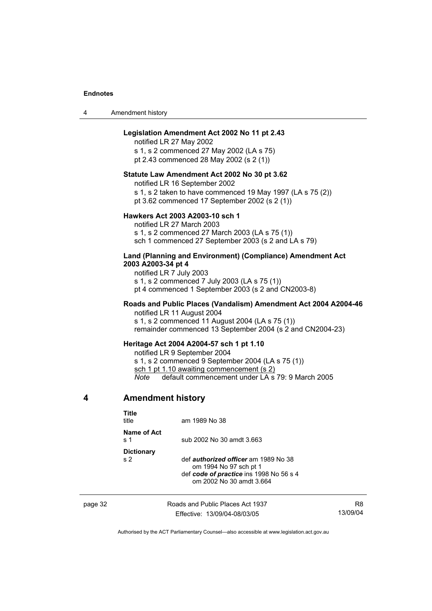| 4 | Amendment history |
|---|-------------------|
|---|-------------------|

#### **Legislation Amendment Act 2002 No 11 pt 2.43**

notified LR 27 May 2002

s 1, s 2 commenced 27 May 2002 (LA s 75) pt 2.43 commenced 28 May 2002 (s 2 (1))

#### **Statute Law Amendment Act 2002 No 30 pt 3.62**

notified LR 16 September 2002

s 1, s 2 taken to have commenced 19 May 1997 (LA s 75 (2))

pt 3.62 commenced 17 September 2002 (s 2 (1))

#### **Hawkers Act 2003 A2003-10 sch 1**

notified LR 27 March 2003 s 1, s 2 commenced 27 March 2003 (LA s 75 (1)) sch 1 commenced 27 September 2003 (s 2 and LA s 79)

#### **Land (Planning and Environment) (Compliance) Amendment Act 2003 A2003-34 pt 4**

notified LR 7 July 2003 s 1, s 2 commenced 7 July 2003 (LA s 75 (1)) pt 4 commenced 1 September 2003 (s 2 and CN2003-8)

#### **Roads and Public Places (Vandalism) Amendment Act 2004 A2004-46**  notified LR 11 August 2004

s 1, s 2 commenced 11 August 2004 (LA s 75 (1)) remainder commenced 13 September 2004 (s 2 and CN2004-23)

#### **Heritage Act 2004 A2004-57 sch 1 pt 1.10**

notified LR 9 September 2004 s 1, s 2 commenced 9 September 2004 (LA s 75 (1)) sch 1 pt 1.10 awaiting commencement (s 2) *Note* default commencement under LA s 79: 9 March 2005

#### **4 Amendment history**

| Title<br>title                             | am 1989 No 38                                                                                                                                |
|--------------------------------------------|----------------------------------------------------------------------------------------------------------------------------------------------|
| Name of Act<br>$\boldsymbol{\mathsf{s}}$ 1 | sub 2002 No 30 amdt 3.663                                                                                                                    |
| <b>Dictionary</b><br>s <sub>2</sub>        | def <i>authorized officer</i> am 1989 No 38<br>om 1994 No 97 sch pt 1<br>def code of practice ins 1998 No 56 s 4<br>om 2002 No 30 amdt 3.664 |

page 32 Roads and Public Places Act 1937 Effective: 13/09/04-08/03/05

R8 13/09/04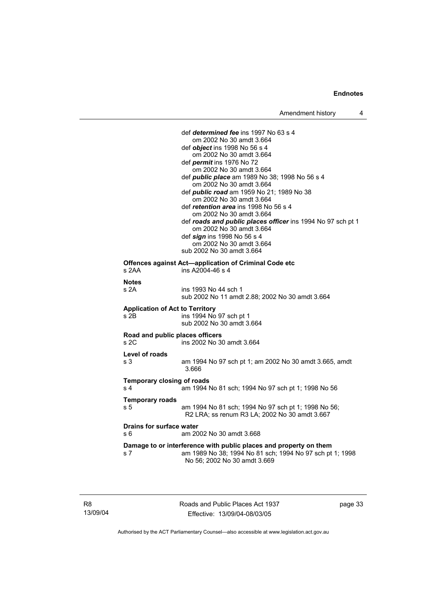def *determined fee* ins 1997 No 63 s 4 om 2002 No 30 amdt 3.664 def *object* ins 1998 No 56 s 4 om 2002 No 30 amdt 3.664 def *permit* ins 1976 No 72 om 2002 No 30 amdt 3.664 def *public place* am 1989 No 38; 1998 No 56 s 4 om 2002 No 30 amdt 3.664 def *public road* am 1959 No 21; 1989 No 38 om 2002 No 30 amdt 3.664 def *retention area* ins 1998 No 56 s 4 om 2002 No 30 amdt 3.664 def *roads and public places officer* ins 1994 No 97 sch pt 1 om 2002 No 30 amdt 3.664 def *sign* ins 1998 No 56 s 4 om 2002 No 30 amdt 3.664 sub 2002 No 30 amdt 3.664 **Offences against Act—application of Criminal Code etc**  s 2AA ins A2004-46 s 4 **Notes**  s 2A ins 1993 No 44 sch 1 sub 2002 No 11 amdt 2.88; 2002 No 30 amdt 3.664 **Application of Act to Territory**  s 2B ins 1994 No 97 sch pt 1 sub 2002 No 30 amdt 3.664 **Road and public places officers**  s 2C ins 2002 No 30 amdt 3.664 **Level of roads**  s 3 am 1994 No 97 sch pt 1; am 2002 No 30 amdt 3.665, amdt 3.666 **Temporary closing of roads**  s 4 am 1994 No 81 sch; 1994 No 97 sch pt 1; 1998 No 56 **Temporary roads**  s 5 am 1994 No 81 sch; 1994 No 97 sch pt 1; 1998 No 56; R2 LRA; ss renum R3 LA; 2002 No 30 amdt 3.667 **Drains for surface water**  s 6 am 2002 No 30 amdt 3.668 **Damage to or interference with public places and property on them**  s 7 am 1989 No 38; 1994 No 81 sch; 1994 No 97 sch pt 1; 1998 No 56; 2002 No 30 amdt 3.669

R8 13/09/04 Roads and Public Places Act 1937 Effective: 13/09/04-08/03/05

page 33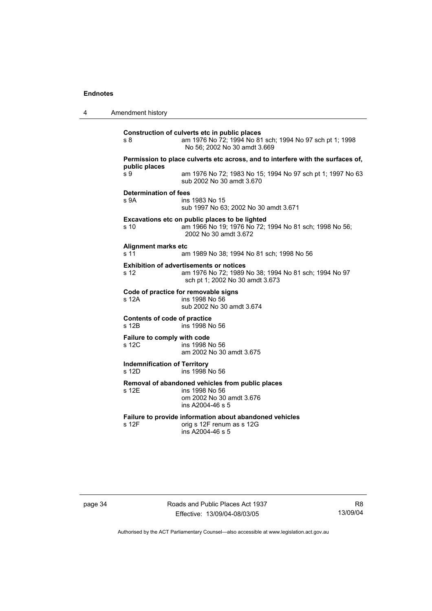| 4 | Amendment history                                                                                                                                  |
|---|----------------------------------------------------------------------------------------------------------------------------------------------------|
|   | Construction of culverts etc in public places<br>am 1976 No 72; 1994 No 81 sch; 1994 No 97 sch pt 1; 1998<br>s 8<br>No 56; 2002 No 30 amdt 3.669   |
|   | Permission to place culverts etc across, and to interfere with the surfaces of,                                                                    |
|   | public places<br>s 9<br>am 1976 No 72; 1983 No 15; 1994 No 97 sch pt 1; 1997 No 63<br>sub 2002 No 30 amdt 3.670                                    |
|   | <b>Determination of fees</b><br>s 9A<br>ins 1983 No 15<br>sub 1997 No 63; 2002 No 30 amdt 3.671                                                    |
|   | Excavations etc on public places to be lighted<br>am 1966 No 19; 1976 No 72; 1994 No 81 sch; 1998 No 56;<br>s 10<br>2002 No 30 amdt 3.672          |
|   | Alignment marks etc<br>s 11<br>am 1989 No 38; 1994 No 81 sch; 1998 No 56                                                                           |
|   | <b>Exhibition of advertisements or notices</b><br>am 1976 No 72; 1989 No 38; 1994 No 81 sch; 1994 No 97<br>s 12<br>sch pt 1; 2002 No 30 amdt 3.673 |
|   | Code of practice for removable signs<br>ins 1998 No 56<br>s 12A<br>sub 2002 No 30 amdt 3.674                                                       |
|   | Contents of code of practice<br>s 12B<br>ins 1998 No 56                                                                                            |
|   | Failure to comply with code<br>s 12C<br>ins 1998 No 56<br>am 2002 No 30 amdt 3.675                                                                 |
|   | <b>Indemnification of Territory</b><br>s 12D<br>ins 1998 No 56                                                                                     |
|   | Removal of abandoned vehicles from public places<br>s 12E<br>ins 1998 No 56<br>om 2002 No 30 amdt 3.676<br>ins A2004-46 s 5                        |
|   | Failure to provide information about abandoned vehicles<br>s 12F<br>orig s 12F renum as s 12G<br>ins A2004-46 s 5                                  |
|   |                                                                                                                                                    |

page 34 Roads and Public Places Act 1937 Effective: 13/09/04-08/03/05

R8 13/09/04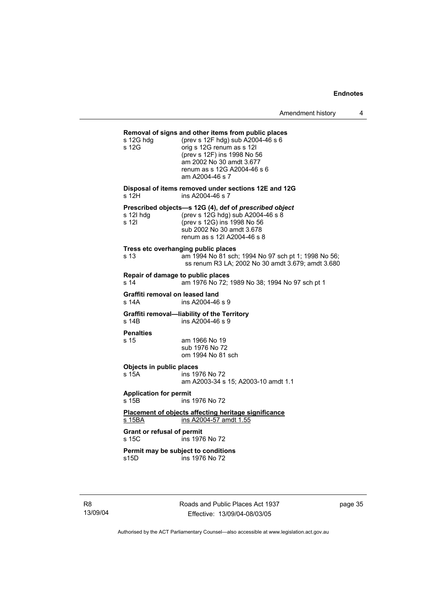#### **Removal of signs and other items from public places**

| s 12G hdg<br>s 12G                          | (prev s 12F hdg) sub A2004-46 s 6<br>orig s 12G renum as s 12I<br>(prev s 12F) ins 1998 No 56<br>am 2002 No 30 amdt 3.677<br>renum as s 12G A2004-46 s 6<br>am A2004-46 s 7            |
|---------------------------------------------|----------------------------------------------------------------------------------------------------------------------------------------------------------------------------------------|
| s 12H                                       | Disposal of items removed under sections 12E and 12G<br>ins A2004-46 s 7                                                                                                               |
| s 12l hdg<br>s 12l                          | Prescribed objects-s 12G (4), def of prescribed object<br>(prev s 12G hdg) sub A2004-46 s 8<br>(prev s 12G) ins 1998 No 56<br>sub 2002 No 30 amdt 3.678<br>renum as s 12I A2004-46 s 8 |
| Tress etc overhanging public places<br>s 13 | am 1994 No 81 sch; 1994 No 97 sch pt 1; 1998 No 56;<br>ss renum R3 LA; 2002 No 30 amdt 3.679; amdt 3.680                                                                               |
| Repair of damage to public places<br>s 14   | am 1976 No 72; 1989 No 38; 1994 No 97 sch pt 1                                                                                                                                         |
| Graffiti removal on leased land<br>s 14A    | ins A2004-46 s 9                                                                                                                                                                       |
| s 14B                                       | Graffiti removal—liability of the Territory<br>ins A2004-46 s 9                                                                                                                        |
| <b>Penalties</b><br>s 15                    | am 1966 No 19<br>sub 1976 No 72<br>om 1994 No 81 sch                                                                                                                                   |
| Objects in public places<br>s 15A           | ins 1976 No 72<br>am A2003-34 s 15; A2003-10 amdt 1.1                                                                                                                                  |
| <b>Application for permit</b><br>s 15B      | ins 1976 No 72                                                                                                                                                                         |
| s 15BA                                      | Placement of objects affecting heritage significance<br>ins A2004-57 amdt 1.55                                                                                                         |
| <b>Grant or refusal of permit</b><br>s 15C  | ins 1976 No 72                                                                                                                                                                         |
| Permit may be subject to conditions<br>s15D | ins 1976 No 72                                                                                                                                                                         |

R8 13/09/04 Roads and Public Places Act 1937 Effective: 13/09/04-08/03/05

page 35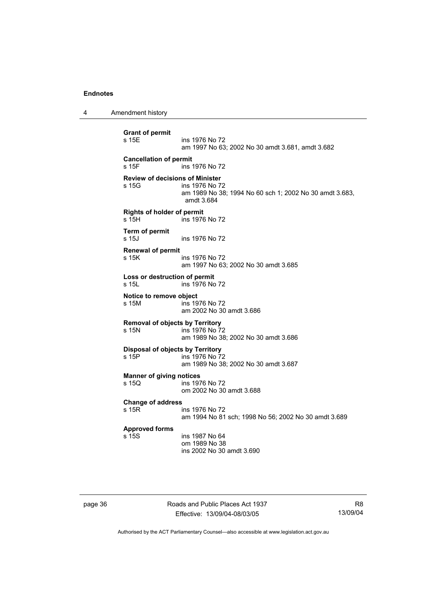4 Amendment history

```
Grant of permit 
                 ins 1976 No 72
                  am 1997 No 63; 2002 No 30 amdt 3.681, amdt 3.682 
Cancellation of permit 
s 15F ins 1976 No 72 
Review of decisions of Minister 
                 ins 1976 No 72
                  am 1989 No 38; 1994 No 60 sch 1; 2002 No 30 amdt 3.683, 
                  amdt 3.684 
Rights of holder of permit 
s 15H ins 1976 No 72 
Term of permit 
s 15J ins 1976 No 72 
Renewal of permit 
s 15K ins 1976 No 72
                  am 1997 No 63; 2002 No 30 amdt 3.685 
Loss or destruction of permit 
s 15L ins 1976 No 72 
Notice to remove object 
s 15M ins 1976 No 72 
                  am 2002 No 30 amdt 3.686 
Removal of objects by Territory 
                 ins 1976 No 72
                  am 1989 No 38; 2002 No 30 amdt 3.686 
Disposal of objects by Territory 
s 15P ins 1976 No 72 
                  am 1989 No 38; 2002 No 30 amdt 3.687 
Manner of giving notices 
                 ins 1976 No 72
                  om 2002 No 30 amdt 3.688 
Change of address 
                 ins 1976 No 72
                  am 1994 No 81 sch; 1998 No 56; 2002 No 30 amdt 3.689 
Approved forms 
                 ins 1987 No 64
                  om 1989 No 38 
                  ins 2002 No 30 amdt 3.690
```
page 36 Roads and Public Places Act 1937 Effective: 13/09/04-08/03/05

R8 13/09/04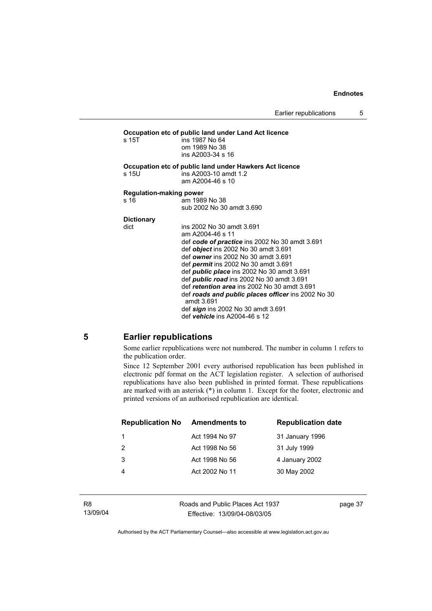#### **Occupation etc of public land under Land Act licence**  s 15T ins 1987 No 64 om 1989 No 38 ins A2003-34 s 16 **Occupation etc of public land under Hawkers Act licence**  s 15U ins A2003-10 amdt 1.2 am A2004-46 s 10 **Regulation-making power**  s 16 am 1989 No 38 sub 2002 No 30 amdt 3.690 **Dictionary**  ins 2002 No 30 amdt 3.691 am A2004-46 s 11 def *code of practice* ins 2002 No 30 amdt 3.691 def *object* ins 2002 No 30 amdt 3.691 def *owner* ins 2002 No 30 amdt 3.691 def *permit* ins 2002 No 30 amdt 3.691 def *public place* ins 2002 No 30 amdt 3.691 def *public road* ins 2002 No 30 amdt 3.691 def *retention area* ins 2002 No 30 amdt 3.691 def *roads and public places officer* ins 2002 No 30 amdt 3.691 def *sign* ins 2002 No 30 amdt 3.691 def *vehicle* ins A2004-46 s 12

### **5 Earlier republications**

Some earlier republications were not numbered. The number in column 1 refers to the publication order.

Since 12 September 2001 every authorised republication has been published in electronic pdf format on the ACT legislation register. A selection of authorised republications have also been published in printed format. These republications are marked with an asterisk (\*) in column 1. Except for the footer, electronic and printed versions of an authorised republication are identical.

| <b>Republication No</b> | <b>Amendments to</b> | <b>Republication date</b> |
|-------------------------|----------------------|---------------------------|
|                         | Act 1994 No 97       | 31 January 1996           |
| -2                      | Act 1998 No 56       | 31 July 1999              |
| 3                       | Act 1998 No 56       | 4 January 2002            |
|                         | Act 2002 No 11       | 30 May 2002               |
|                         |                      |                           |

Roads and Public Places Act 1937 Effective: 13/09/04-08/03/05

page 37